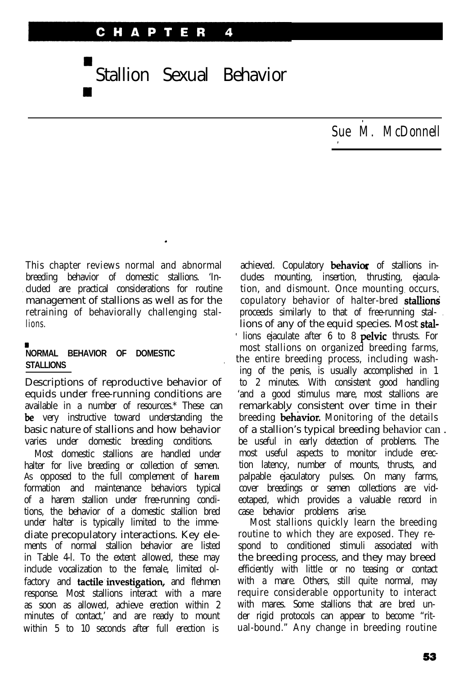.

Stallion Sexual Behavior

# *Sue M. McDonnell*

This chapter reviews normal and abnormal breeding behavior of domestic stallions. 'In- . cluded are practical considerations for routine management of stallions as well as for the retraining of behaviorally challenging stallions.

# I

# **NORMAL BEHAVIOR OF DOMESTIC STALLIONS .**

Descriptions of reproductive behavior of equids under free-running conditions are available in a number of resources.\* These can be very instructive toward understanding the basic nature of stallions and how behavior varies under domestic breeding conditions.

Most domestic stallions are handled under halter for live breeding or collection of semen. As opposed to the full complement of **harem** formation and maintenance behaviors typical of a harem stallion under free-running conditions, the behavior of a domestic stallion bred under halter is typically limited to the immediate precopulatory interactions. Key elements of normal stallion behavior are listed in Table 4-l. To the extent allowed, these may include vocalization to the female, limited olfactory and **tactile investigation**, and flehmen response. Most stallions interact with a mare as soon as allowed, achieve erection within 2 minutes of contact,' and are ready to mount within 5 to 10 seconds after full erection is

achieved. Copulatory **behavior** of stallions includes mounting, insertion, thrusting, ejaculation, and dismount. Once mounting occurs, copulatory behavior of halter-bred stallions proceeds similarly to that of free-running stallions of any of the equid species. Most stal-' lions ejaculate after 6 to 8 **pelvic** thrusts. For most stallions on organized breeding farms, the entire breeding process, including washing of the penis, is usually accomplished in 1 to 2 minutes. With consistent good handling 'and a good stimulus mare, most stallions are remarkablv consistent over time in their breeding **behavior.** Monitoring of the details of a stallion's typical breeding behavior can . be useful in early detection of problems. The most useful aspects to monitor include erection latency, number of mounts, thrusts, and palpable ejaculatory pulses. On many farms, cover breedings or semen collections are videotaped, which provides a valuable record in case behavior problems arise.

Most stallions quickly learn the breeding routine to which they are exposed. They respond to conditioned stimuli associated with the breeding process, and they may breed efficiently with little or no teasing or contact with a mare. Others, still quite normal, may require considerable opportunity to interact with mares. Some stallions that are bred under rigid protocols can appear to become "ritual-bound." Any change in breeding routine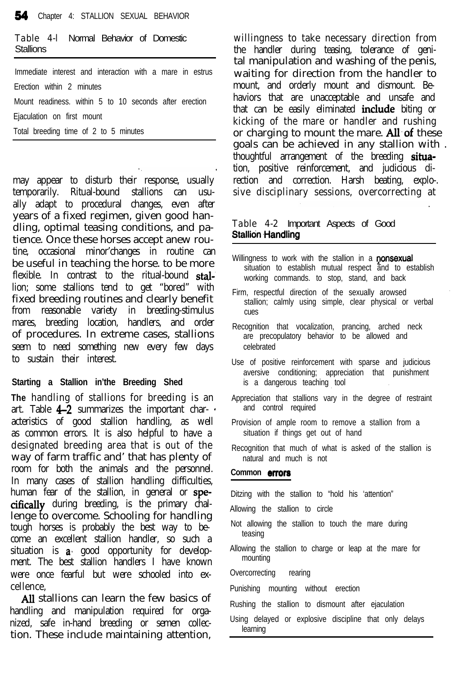### Table 4-l Normal Behavior of Domestic **Stallions**

| Immediate interest and interaction with a mare in estrus |  |  |  |
|----------------------------------------------------------|--|--|--|
| Erection within 2 minutes                                |  |  |  |
| Mount readiness. within 5 to 10 seconds after erection   |  |  |  |
| Ejaculation on first mount                               |  |  |  |
| Total breeding time of 2 to 5 minutes                    |  |  |  |

may appear to disturb their response, usually temporarily. Ritual-bound stallions can usually adapt to procedural changes, even after years of a fixed regimen, given good handling, optimal teasing conditions, and patience. Once these horses accept anew routine, occasional minor'changes in routine can be useful in teaching the horse. to be more flexible. In contrast to the ritual-bound stallion; some stallions tend to get "bored" with fixed breeding routines and clearly benefit from reasonable variety in breeding-stimulus mares, breeding location, handlers, and order of procedures. In extreme cases, stallions seem to need something new every few days to sustain their interest.

### **Starting a Stallion in'the Breeding Shed**

**The** handling of stallions for breeding is an art. Table  $4-2$  summarizes the important characteristics of good stallion handling, as well as common errors. It is also helpful to have a designated breeding area that is out of the way of farm traffic and' that has plenty of room for both the animals and the personnel. In many cases of stallion handling difficulties, human fear of the stallion, in general or **spe**cifically during breeding, is the primary challenge to overcome. Schooling for handling tough horses is probably the best way to become an excellent stallion handler, so such a situation is  $a$  good opportunity for development. The best stallion handlers I have known were once fearful but were schooled into excellence,

All stallions can learn the few basics of handling and manipulation required for organized, safe in-hand breeding or semen collection. These include maintaining attention,

willingness to take necessary direction from the handler during teasing, tolerance of genital manipulation and washing of the penis, waiting for direction from the handler to mount, and orderly mount and dismount. Behaviors that are unacceptable and unsafe and that can be easily eliminated **include** biting or kicking of the mare or handler and rushing or charging to mount the mare. **All of** these goals can be achieved in any stallion with . thoughtful arrangement of the breeding situation, positive reinforcement, and judicious direction and correction. Harsh beating, explo-. sive disciplinary sessions, overcorrecting at

#### Table 4-2 Important Aspects of Good **Stallion Handling**

- Willingness to work with the stallion in a nonsexual situation to establish mutual respect and to establish working commands. to stop, stand, and back
- Firm, respectful direction of the sexually arowsed stallion; calmly using simple, clear physical or verbal cues **cues**
- Recognition that vocalization, prancing, arched neck are precopulatory behavior to be allowed and celebrated
- Use of positive reinforcement with sparse and judicious aversive conditioning; appreciation that punishment is a dangerous teaching tool
- Appreciation that stallions vary in the degree of restraint and control required
- Provision of ample room to remove a stallion from a situation if things get out of hand
- Recognition that much of what is asked of the stallion is natural and much is not

## **Common errors**

Ditzing with the stallion to "hold his 'attention"

- Allowing the stallion to circle
- Not allowing the stallion to touch the mare during teasing
- Allowing the stallion to charge or leap at the mare for mounting
- Overcorrecting rearing
- Punishing mounting without erection
- Rushing the stallion to dismount after ejaculation
- Using delayed or explosive discipline that only delays learning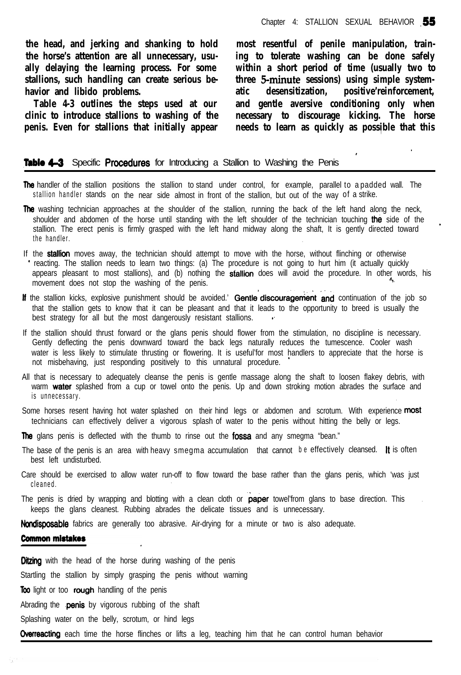**the head, and jerking and shanking to hold the horse's attention are all unnecessary, usually delaying the learning process. For some stallions, such handling can create serious behavior and libido problems.**

**Table 4-3 outlines the steps used at our clinic to introduce stallions to washing of the penis. Even for stallions that initially appear**

**most resentful of penile manipulation, training to tolerate washing can be done safely within a short period of time (usually two to** three 5-minute sessions) using simple system**atic desensitization, positive'reinforcement, and gentle aversive conditioning only when necessary to discourage kicking. The horse needs to learn as quickly as possible that this ,**

,

.

#### Table 4-3 Specific Procedures for Introducing a Stallion to Washing the Penis

- **The** handler of the stallion positions the stallion to-stand under control, for example, parallel to a-padded wall. The stallion handler stands on the near side almost in front of the stallion, but out of the way of a strike.
- The washing technician approaches at the shoulder of the stallion, running the back of the left hand along the neck, shoulder and abdomen of the horse until standing with the left shoulder of the technician touching the side of the stallion. The erect penis is firmly grasped with the left hand midway along the shaft, It is gently directed toward the handler. .
- If the **stallion** moves away, the technician should attempt to move with the horse, without flinching or otherwise ' reacting. The stallion needs to learn two things: (a) The procedure is not going to hurt him (it actually quickly appears pleasant to most stallions), and (b) nothing the stallion does will avoid the procedure. In other words, his movement does not stop the washing of the penis.
- If the stallion kicks, explosive punishment should be avoided.' Gentle discouragement and continuation of the job so that the stallion gets to know that it can be pleasant and that it leads to the opportunity to breed is usually the best strategy for all but the most dangerously resistant stallions.
- If the stallion should thrust forward or the glans penis should flower from the stimulation, no discipline is necessary. Gently deflecting the penis downward toward the back legs naturally reduces the tumescence. Cooler wash water is less likely to stimulate thrusting or flowering. It is useful'for most handlers to appreciate that the horse is not misbehaving, just responding positively to this unnatural procedure.
- All that is necessary to adequately cleanse the penis is gentle massage along the shaft to loosen flakey debris, with warm water splashed from a cup or towel onto the penis. Up and down stroking motion abrades the surface and is unnecessary.
- Some horses resent having hot water splashed on their hind legs or abdomen and scrotum. With experience **mos** technicians can effectively deliver a vigorous splash of water to the penis without hitting the belly or legs.
- The glans penis is deflected with the thumb to rinse out the fossa and any smegma "bean."
- The base of the penis is an area with heavy smegma accumulation that cannot be effectively cleansed. It is often best left undisturbed.
- Care should be exercised to allow water run-off to flow toward the base rather than the glans penis, which 'was just cleaned. .
- The penis is dried by wrapping and blotting with a clean cloth or **paper** towel'from glans to base direction. This keeps the glans cleanest. Rubbing abrades the delicate tissues and is unnecessary.

Nondisposable fabrics are generally too abrasive. Air-drying for a minute or two is also adequate.

#### **Common mistakes**

Ditzing with the head of the horse during washing of the penis

Startling the stallion by simply grasping the penis without warning

Too light or too rough handling of the penis

Abrading the **penis** by vigorous rubbing of the shaft

Splashing water on the belly, scrotum, or hind legs

Overreacting each time the horse flinches or lifts a leg, teaching him that he can control human behavior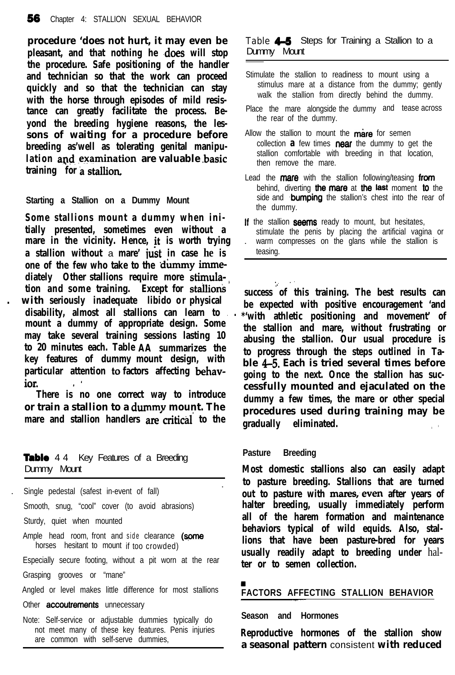**procedure 'does not hurt, it may even be pleasant, and that nothing he .does will stop the procedure. Safe positioning of the handler and technician so that the work can proceed quickly and so that the technician can stay with the horse through episodes of mild resistance can greatly facilitate the process. Beyond the breeding hygiene reasons, the lessons of waiting for a procedure before breeding as'well as tolerating genital manipu**lation and examination are valuable basic **training** for **a stallion**.

#### **Starting a Stallion on a Dummy Mount**

**one of the few who take to the \*dummy imme-Some stallions mount a dummy when initially presented, sometimes even without a diately Other stallions require more stimula-1 mare in the vicinity. Hence, jt is worth trying ' a stallion without** a **mare' iust in case he is tion and some training. Except for stallion . with seriously inadequate libido o r physical disability, almost all stallions can learn to** <sup>l</sup>**. mount a dummy of appropriate design. Some may take several training sessions lasting 10 to 20 minutes each. Table AA summarizes the key features of dummy mount design, with particular attention** to **factors affecting behavior.**

**There is no one correct way to introduce or train a stallion to a dummv mount. The** mare and stallion handlers are critical to the

## **Table** 44 Key Features of a Breeding Dummy Mount

. Single pedestal (safest in-event of fall)

Smooth, snug, "cool" cover (to avoid abrasions)

Sturdy, quiet when mounted

- Ample head room, front and side clearance (some horses hesitant to mount if too crowded)
- Especially secure footing, without a pit worn at the rear

Grasping grooves or "mane"

Other **accoutrements** unnecessary

Note: Self-service or adjustable dummies typically do not meet many of these key features. Penis injuries are common with self-serve dummies,

### Table **4-5** Steps for Training a Stallion to a Dummy Mount

- Stimulate the stallion to readiness to mount using a stimulus mare at a distance from the dummy; gently walk the stallion from directly behind the dummy.
- Place the mare alongside the dummy and tease across the rear of the dummy.
- Allow the stallion to mount the  $\text{macro}$  for semen collection **a** few times near the dummy to get the stallion comfortable with breeding in that location, then remove the mare.
- Lead the **mare** with the stallion following/teasing from behind, diverting the mare at the last moment to the side and **bumping** the stallion's chest into the rear of the dummy.
- If the stallion seems ready to mount, but hesitates, stimulate the penis by placing the artificial vagina or warm compresses on the glans while the stallion is teasing.

:\*. **success of this training. The best results can be expected with positive encouragement 'and \*'with athletic positioning and movement' of the stallion and mare, without frustrating or abusing the stallion. Our usual procedure is to progress through the steps outlined in Table 4-5. Each is tried several times before going to the next. Once the stallion has successfully mounted and ejaculated on the dummy a few times, the mare or other special procedures used during training may be gradually eliminated. .**

#### **Pasture Breeding**

) ,- <sup>I</sup>

.

**Most domestic stallions also can easily adapt to pasture breeding. Stallions that are turned out to pasture with mares;even after years of halter breeding, usually immediately perform all of the harem formation and maintenance behaviors typical of wild equids. Also, stallions that have been pasture-bred for years usually readily adapt to breeding under** hal**ter or to semen collection.**

# Angled or level makes little difference for most stallions **FACTORS AFFECTING STALLION BEHAVIOR**

#### **Season and Hormones**

**Reproductive hormones of the stallion show a seasonal pattern** consistent **with reduced**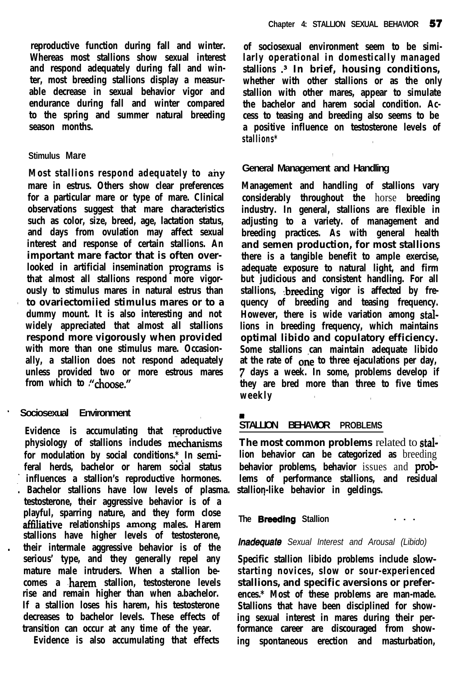**reproductive function during fall and winter. Whereas most stallions show sexual interest and respond adequately during fall and winter, most breeding stallions display a measurable decrease in sexual behavior vigor and endurance during fall and winter compared to the spring and summer natural breeding season months.**

# **Stimulus Mare ,**

**Most stallions respond adequately to any mare in estrus. Others show clear preferences for a particular mare or type of mare. Clinical observations suggest that mare characteristics such as color, size, breed, age, lactation status, and days from ovulation may affect sexual interest and response of certain stallions. An important mare factor that is often overlooked in artificial insemination programs is that almost all stallions respond more vigorously to stimulus mares in natural estrus than . to ovariectomiied stimulus mares or to a dummy mount. It is also interesting and not widely appreciated that almost all stallions respond more vigorously when provided with more than one stimulus mare. Occasionally, a stallion does not respond adequately unless provided two or more estrous mares** from which to "choose."

# **- Sociosexual Environment .**

**.**

**Evidence is accumulating that reproductive STALLION BEHAVIOR PROBLEMS** physiology of stallions includes mechanisms **for modulation by social conditions.\* In semi**for modulation by social conditions.<sup>\*</sup> In **semi**- lion behavior can be categorized as breeding feral herds, bachelor or harem social status behavior problems, behavior issues and **prob**influences a stallion's reproductive hormones. lems of performance stallions, and residual<br>Bachelor stallions have low levels of plasma. stallion-like behavior in geldings. **Bachelor** stallions have low levels of plasma. **testosterone, their aggressive behavior is of a playful, sparring nature, and they form close aft%ative relationships among males. Harem The Breeding Stallion stallions have higher levels of testosterone, their intermale aggressive behavior is of the** *hadequate Sexual Interest and Arousal (Libido)* **serious' type, and they generally repel any Specific stallion libido problems include slowmature male intruders. When a stallion be- starting novices, slow or sour-experienced** comes a **harem** stallion, testosterone levels stallions, and specific aversions or prefer-<br>
rise and remain higher than when a.bachelor. ences.\* Most of these problems are man-made. **rise and remain higher than when a.bachelor. ences.\* Most of these problems are man-made. If a stallion loses his harem, his testosterone Stallions that have been disciplined for showtransition can occur at any time of the year. formance career are discouraged from show-**

**of sociosexual environment seem to be similarly operational in domestically managed stallions .3 In brief, housing conditions, whether with other stallions or as the only stallion with other mares, appear to simulate the bachelor and harem social condition. Access to teasing and breeding also seems to be a positive influence on testosterone levels of stallions\* .**

# **General Management and Handling**

**Management and handling of stallions vary considerably throughout the** horse **breeding industry. In general, stallions are flexible in adjusting to a variety. of management and breeding practices. As with general health and semen production, for most stallions there is a tangible benefit to ample exercise, adequate exposure to natural light, and firm but judicious and consistent handling. For all stallions, :breeding vigor is affected by frequency of breeding and teasing frequency. However, there is wide variation among stallions in breeding frequency, which maintains optimal libido and copulatory efficiency. Some stallions can maintain adequate libido at the rate of one to three ejaculations per day, 7 days a week. In some, problems develop if they are bred more than three to five times weekly . .**

**The most common problems** related to stal**behavior** problems, behavior issues and **prob-**

**. . .**

ing sexual interest in mares during their per-**Evidence is also accumulating that effects ing spontaneous erection and masturbation,**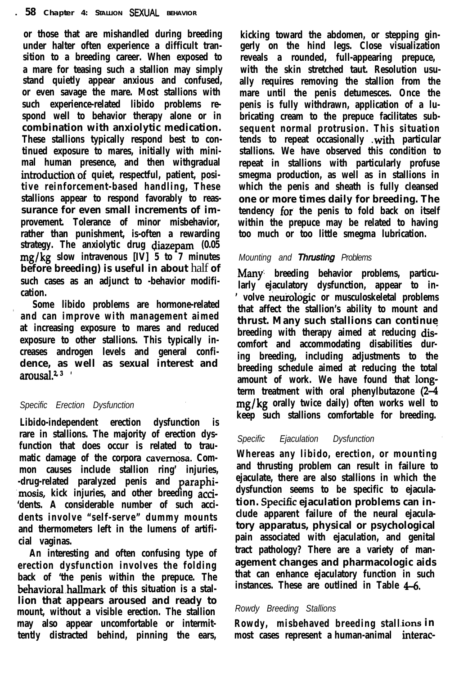**or those that are mishandled during breeding under halter often experience a difficult transition to a breeding career. When exposed to a mare for teasing such a stallion may simply stand quietly appear anxious and confused, or even savage the mare. Most stallions with such experience-related libido problems respond well to behavior therapy alone or in combination with anxiolytic medication. These stallions typically respond best to continued exposure to mares, initially with minimal human presence, and then withgradual** introduction of quiet, respectful, patient, posi**tive reinforcement-based handling, These stallions appear to respond favorably to reassurance for even small increments of improvement. Tolerance of minor misbehavior, rather than punishment, is-often a rewarding strategy. The anxiolytic drug diazepam (0.05 mg/kg slow intravenous [IV] 5 to 7 minutes before breeding) is useful in about** half **of such cases as an adjunct to -behavior modification.**

**. Some libido problems are hormone-related and can improve with management aimed at increasing exposure to mares and reduced exposure to other stallions. This typically increases androgen levels and general confidence, as well as sexual interest and arousal.z3 '**

# *Specific Erection Dysfunction .*

**Libido-independent erection dysfunction is rare in stallions. The majority of erection dysfunction that does occur is related to trau**matic damage of the corpora cavernosa. Com**mon causes include stallion ring' injuries, -drug-related paralyzed penis and paraphi- 'mosis, kick injuries, and other breeding acci- 'dents. A considerable number of such accidents involve "self-serve" dummy mounts and thermometers left in the lumens of artificial vaginas.**

**An interesting and often confusing type of erection dysfunction involves the folding back of 'the penis within the prepuce. The** behavioral hallmark of this situation is a stal**lion that appears aroused and ready to mount, without a visible erection. The stallion may also appear uncomfortable or intermittently distracted behind, pinning the ears,**

**kicking toward the abdomen, or stepping gingerly on the hind legs. Close visualization**  $r$ eveals a rounded, full-appearing prepuce, **with the skin stretched taut. Resolution usually requires removing the stallion from the mare until the penis detumesces. Once the penis is fully withdrawn, application of a lubricating cream to the prepuce facilitates subsequent normal protrusion. This situation** tends to repeat occasionally with particular **stallions. We have observed this condition to repeat in stallions with particularly profuse smegma production, as well as in stallions in which the penis and sheath is fully cleansed one or more times daily for breeding. The tendency for' the penis to fold back on itself within the prepuce may be related to having too much or too little smegma lubrication.**

# *Mounting and Thnrssting Problems*

**Many: breeding behavior problems, particularly ejaculatory dysfunction, appear to in- ' volve neurologic or musculoskeletal problems that affect the stallion's ability to mount and thrust. Many such stallions can continue breeding with therapy aimed at reducing discomfort and accommodating disabilities during breeding, including adjustments to the breeding schedule aimed at reducing the total amount of work. We have found that longterm treatment with oral phenylbutazone (2-4 mg/kg orally twice daily) often works well to keep such stallions comfortable for breeding.**

# *Specific Ejaculation Dysfunction .*

**Whereas any libido, erection, or mounting and thrusting problem can result in failure to ejaculate, there are also stallions in which the dysfunction seems to be specific to ejacula**tion. Specific ejaculation problems can in**clude apparent failure of the neural ejaculatory apparatus, physical or psychological pain associated with ejaculation, and genital tract pathology? There are a variety of management changes and pharmacologic aids that can enhance ejaculatory function in such instances. These are outlined in Table 4-6.**

# *Rowdy Breeding Stallions*

**Rowdy, misbehaved breeding stall.ions in most cases represent a human-animal interac-**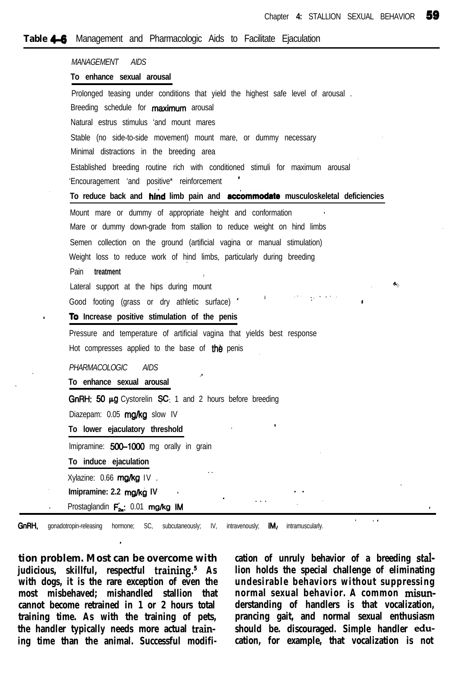#### **Table** 4-6 Management and Pharmacologic Aids to Facilitate Ejaculation

| MANAGEMENT<br><b>AIDS</b>                                                        |
|----------------------------------------------------------------------------------|
| To enhance sexual arousal                                                        |
| Prolonged teasing under conditions that yield the highest safe level of arousal. |
| Breeding schedule for <b>maximum</b> arousal                                     |
| Natural estrus stimulus 'and mount mares                                         |
| Stable (no side-to-side movement) mount mare, or dummy necessary                 |
| Minimal distractions in the breeding area                                        |
| Established breeding routine rich with conditioned stimuli for maximum arousal   |
| 'Encouragement 'and positive* reinforcement                                      |
| To reduce back and hind limb pain and accommodate musculoskeletal deficiencies   |
| Mount mare or dummy of appropriate height and conformation                       |
| Mare or dummy down-grade from stallion to reduce weight on hind limbs            |
| Semen collection on the ground (artificial vagina or manual stimulation)         |
| Weight loss to reduce work of hind limbs, particularly during breeding           |
| Pain<br>treatment                                                                |
| Lateral support at the hips during mount                                         |
| Good footing (grass or dry athletic surface) '                                   |
| To Increase positive stimulation of the penis                                    |
| Pressure and temperature of artificial vagina that yields best response          |
| Hot compresses applied to the base of the penis                                  |
| PHARMACOLOGIC<br>AIDS                                                            |
| To enhance sexual arousal                                                        |
| GnRH: 50 $\mu$ g Cystorelin SC: 1 and 2 hours before breeding                    |
| Diazepam: 0.05 mg/kg slow IV                                                     |
| To lower ejaculatory threshold                                                   |
| Imipramine: 500-1000 mg orally in grain                                          |
| To induce ejaculation                                                            |
| Xylazine: 0.66 mg/kg IV.                                                         |
| Imipramine: 2.2 mg/kg IV                                                         |
| Prostaglandin F <sub>2n</sub> : 0.01 mg/kg IM                                    |

GnRH, gonadotropin-releasing hormone; SC, subcutaneously; IV, intravenously; IM, intramuscularly.

**tion problem. Most can be overcome with cation of unruly behavior of a breeding stal**judicious, skillful, respectful **training**.<sup>5</sup> As with dogs, it is the rare exception of even the **most misbehaved; mishandled stallion that normal sexual behavior. A common misuncannot become retrained in 1 or 2 hours total derstanding of handlers is that vocalization, training time. As with the training of pets, prancing gait, and normal sexual enthusiasm the handler typically needs more actual train- should be. discouraged. Simple handler eduing time than the animal. Successful modifi- cation, for example, that vocalization is not**

**with dogs, it is the rare exception of even the undesirable behaviors without suppressing**

I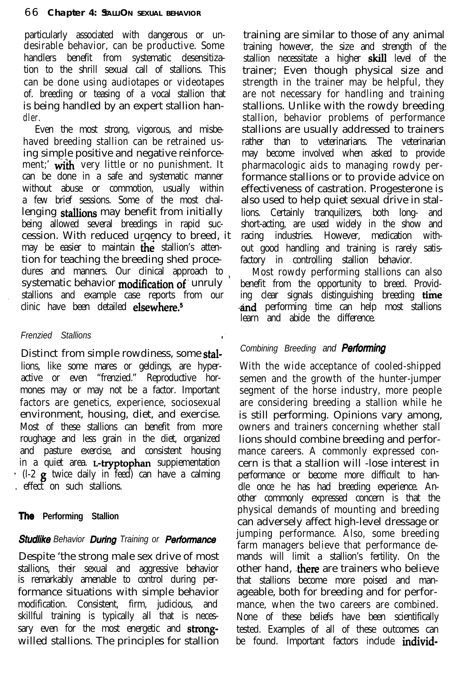particularly associated with dangerous or undesirable behavior, can be productive. Some handlers benefit from systematic desensitization to the shrill sexual call of stallions. This can be done using audiotapes or videotapes of. breeding or teasing of a vocal stallion that is being handled by an expert stallion handler.

Even the most strong, vigorous, and misbehaved breeding stallion can be retrained using simple positive and negative reinforcement;' with very little or no punishment. It can be done in a safe and systematic manner without abuse or commotion, usually within a few brief sessions. Some of the most challenging stallions may benefit from initially being allowed several breedings in rapid succession. With reduced urgency to breed, it ' may be easier to maintain **the** stallion's attention for teaching the breeding shed procedures and manners. Our clinical approach to systematic behavior modification of unruly . stallions and example case reports from our clinic have been detailed **elsewhere.<sup>5</sup>** 

# *Frenzied Stallions .*

Distinct from simple rowdiness, some stal-<br>
Combining Breeding and Performing lions, like some mares or geldings, are hyperactive or even "frenzied." Reproductive hormones may or may not be a factor. Important factors are genetics, experience, sociosexual . environment, housing, diet, and exercise. Most of these stallions can benefit from more roughage and less grain in the diet, organized and pasture exercise, and consistent housing in a quiet area. **L-tryptophan** suppiementation  $\cdot$  (l-2  $\boldsymbol{g}$  twice daily in feed) can have a calming . effect on such stallions.

# **The Performing Stallion**

# *Studlike Behavior During Training or Performance*

Despite 'the strong male sex drive of most stallions, their sexual and aggressive behavior is remarkably amenable to control during performance situations with simple behavior modification. Consistent, firm, judicious, and skillful training is typically all that is necessary even for the most energetic and **strong**willed stallions. The principles for stallion

training are similar to those of any animal training however, the size and strength of the stallion necessitate a higher **skill** level of the trainer; Even though physical size and strength in the trainer may be helpful, they are not necessary for handling and training stallions. Unlike with the rowdy breeding stallion, behavior problems of performance stallions are usually addressed to trainers rather than to veterinarians. The veterinarian may become involved when asked to provide pharmacologic aids to managing rowdy performance stallions or to provide advice on effectiveness of castration. Progesterone is also used to help quiet sexual drive in stallions. Certainly tranquilizers, both long- and short-acting, are used widely in the show and racing industries. However, medication without good handling and training is rarely satisfactory in controlling stallion behavior.

Most rowdy performing stallions can also benefit from the opportunity to breed. Providing clear signals distinguishing breeding **time and** performing time can help most stallions learn and abide the difference.

*t*

With the wide acceptance of cooled-shipped semen and the growth of the hunter-jumper segment of the horse industry, more people are considering breeding a stallion while he is still performing. Opinions vary among, owners and trainers concerning whether stall lions should combine breeding and performance careers. A commonly expressed concern is that a stallion will -lose interest in performance or become more difficult to handle once he has had breeding experience. Another commonly expressed concern is that the physical demands of mounting and breeding can adversely affect high-level dressage or jumping performance. Also, some breeding farm managers believe that performance demands will limit a stallion's fertility. On the other hand, there are trainers who believe that stallions become more poised and manageable, both for breeding and for performance, when the two careers are combined. None of these beliefs have been scientifically tested. Examples of all of these outcomes can be found. Important factors include individ-